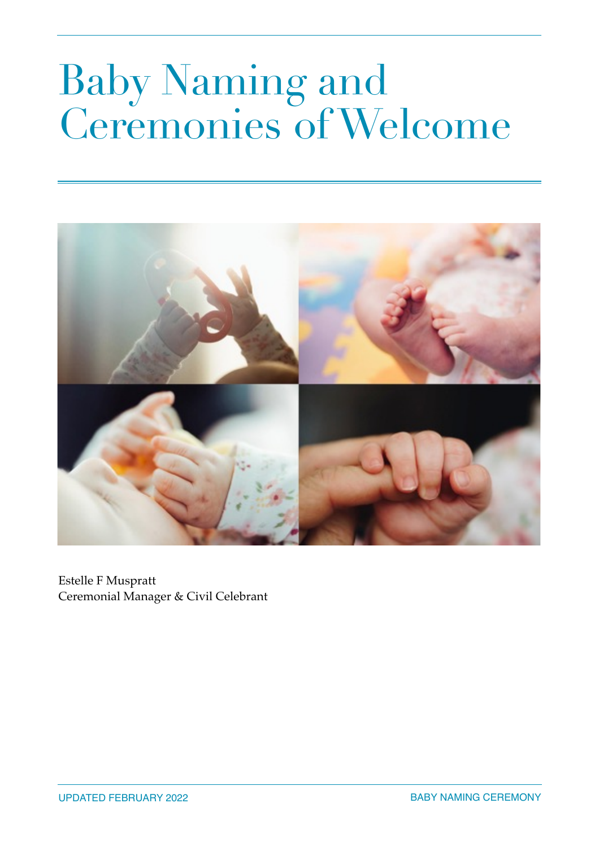# Baby Naming and Ceremonies of Welcome



Estelle F Muspratt Ceremonial Manager & Civil Celebrant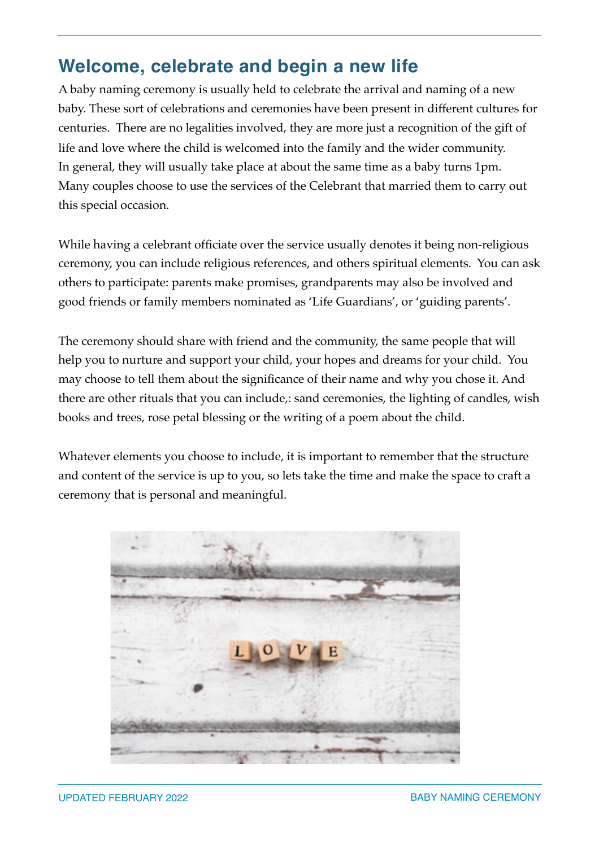## **Welcome, celebrate and begin a new life**

A baby naming ceremony is usually held to celebrate the arrival and naming of a new baby. These sort of celebrations and ceremonies have been present in different cultures for centuries. There are no legalities involved, they are more just a recognition of the gift of life and love where the child is welcomed into the family and the wider community. In general, they will usually take place at about the same time as a baby turns 1pm. Many couples choose to use the services of the Celebrant that married them to carry out this special occasion.

While having a celebrant officiate over the service usually denotes it being non-religious ceremony, you can include religious references, and others spiritual elements. You can ask others to participate: parents make promises, grandparents may also be involved and good friends or family members nominated as 'Life Guardians', or 'guiding parents'.

The ceremony should share with friend and the community, the same people that will help you to nurture and support your child, your hopes and dreams for your child. You may choose to tell them about the significance of their name and why you chose it. And there are other rituals that you can include,: sand ceremonies, the lighting of candles, wish books and trees, rose petal blessing or the writing of a poem about the child.

Whatever elements you choose to include, it is important to remember that the structure and content of the service is up to you, so lets take the time and make the space to craft a ceremony that is personal and meaningful.